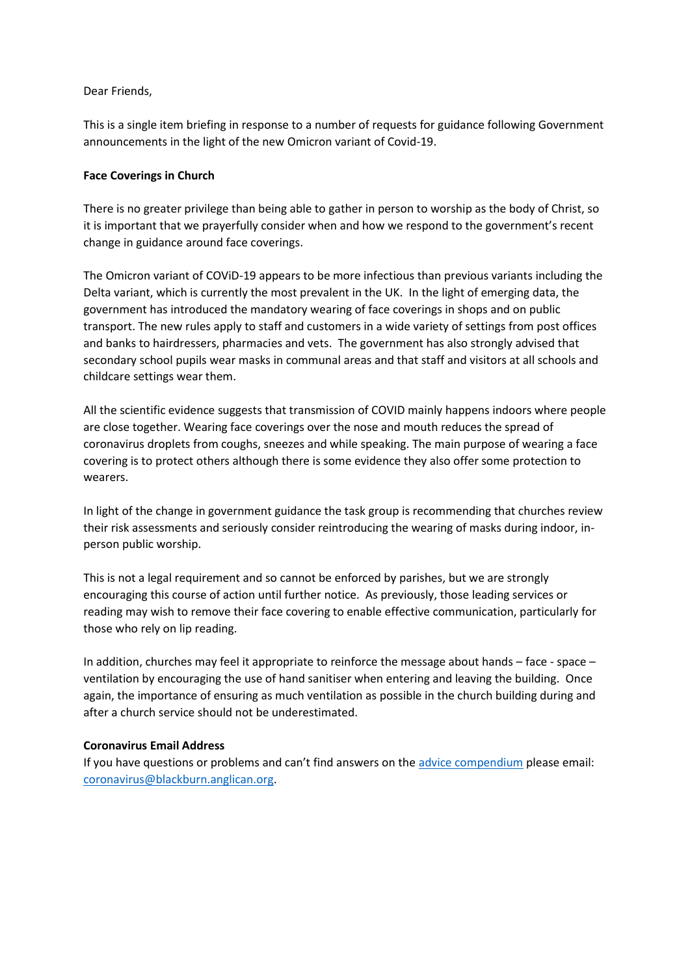## Dear Friends,

This is a single item briefing in response to a number of requests for guidance following Government announcements in the light of the new Omicron variant of Covid-19.

## **Face Coverings in Church**

There is no greater privilege than being able to gather in person to worship as the body of Christ, so it is important that we prayerfully consider when and how we respond to the government's recent change in guidance around face coverings.

The Omicron variant of COViD-19 appears to be more infectious than previous variants including the Delta variant, which is currently the most prevalent in the UK. In the light of emerging data, the government has introduced the mandatory wearing of face coverings in shops and on public transport. The new rules apply to staff and customers in a wide variety of settings from post offices and banks to hairdressers, pharmacies and vets. The government has also strongly advised that secondary school pupils wear masks in communal areas and that staff and visitors at all schools and childcare settings wear them.

All the scientific evidence suggests that transmission of COVID mainly happens indoors where people are close together. Wearing face coverings over the nose and mouth reduces the spread of coronavirus droplets from coughs, sneezes and while speaking. The main purpose of wearing a face covering is to protect others although there is some evidence they also offer some protection to wearers.

In light of the change in government guidance the task group is recommending that churches review their risk assessments and seriously consider reintroducing the wearing of masks during indoor, inperson public worship.

This is not a legal requirement and so cannot be enforced by parishes, but we are strongly encouraging this course of action until further notice. As previously, those leading services or reading may wish to remove their face covering to enable effective communication, particularly for those who rely on lip reading.

In addition, churches may feel it appropriate to reinforce the message about hands – face - space – ventilation by encouraging the use of hand sanitiser when entering and leaving the building. Once again, the importance of ensuring as much ventilation as possible in the church building during and after a church service should not be underestimated.

## **Coronavirus Email Address**

If you have questions or problems and can't find answers on the [advice compendium](https://www.blackburn.anglican.org/coronavirus-compendium-of-advice-and-res) please email: [coronavirus@blackburn.anglican.org.](mailto:coronavirus@blackburn.anglican.org)